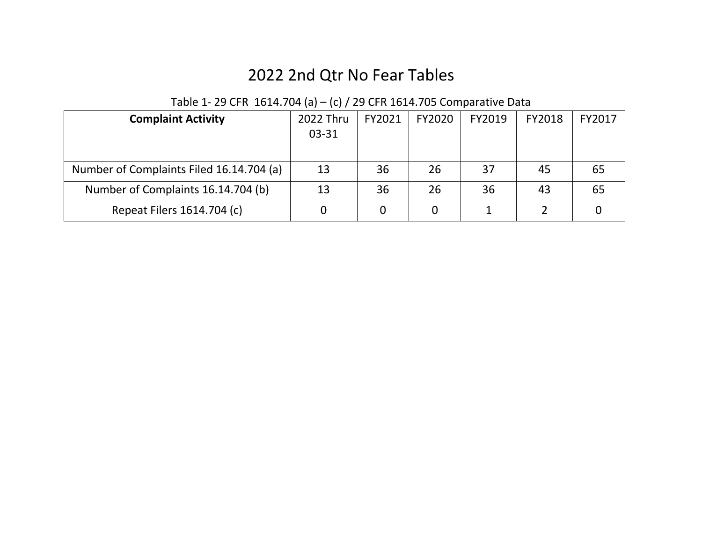# 2022 2nd Qtr No Fear Tables

| <b>Complaint Activity</b>                | 2022 Thru<br>03-31 | FY2021 | FY2020 | FY2019 | FY2018 | FY2017 |
|------------------------------------------|--------------------|--------|--------|--------|--------|--------|
| Number of Complaints Filed 16.14.704 (a) | 13                 | 36     | 26     | 37     | 45     | 65     |
| Number of Complaints 16.14.704 (b)       | 13                 | 36     | 26     | 36     | 43     | 65     |
| Repeat Filers 1614.704 (c)               |                    |        |        |        |        |        |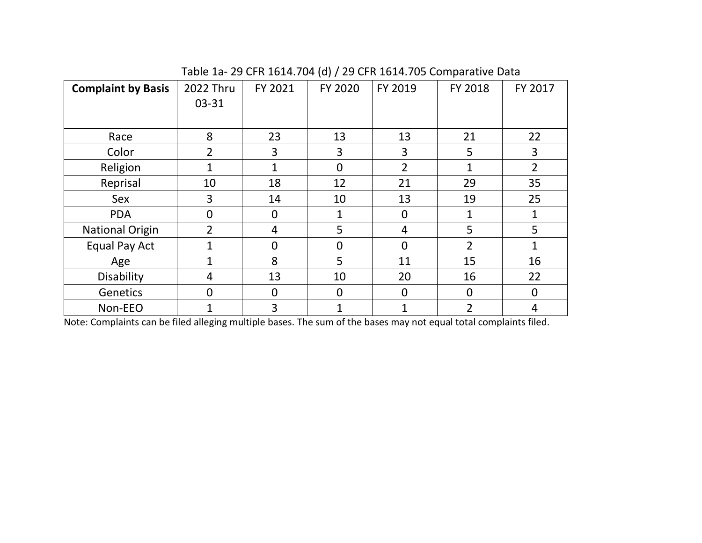| <b>Complaint by Basis</b> | 2022 Thru      | FY 2021        | FY 2020        | FY 2019        | FY 2018          | FY 2017        |
|---------------------------|----------------|----------------|----------------|----------------|------------------|----------------|
|                           | 03-31          |                |                |                |                  |                |
|                           |                |                |                |                |                  |                |
| Race                      | 8              | 23             | 13             | 13             | 21               | 22             |
| Color                     | 2              | 3              | 3              | 3              | 5                | 3              |
| Religion                  |                |                | $\Omega$       | $\overline{2}$ | 1                | $\overline{2}$ |
| Reprisal                  | 10             | 18             | 12             | 21             | 29               | 35             |
| Sex                       | 3              | 14             | 10             | 13             | 19               | 25             |
| <b>PDA</b>                | 0              | 0              | 1              | 0              | 1                | 1              |
| <b>National Origin</b>    | $\overline{2}$ | 4              | 5              | 4              | 5                | 5              |
| Equal Pay Act             | 1              | $\overline{0}$ | $\Omega$       | $\overline{0}$ | $\mathfrak{p}$   | 1              |
| Age                       | 1              | 8              | 5              | 11             | 15               | 16             |
| Disability                | 4              | 13             | 10             | 20             | 16               | 22             |
| Genetics                  | 0              | $\overline{0}$ | $\overline{0}$ | $\overline{0}$ | $\boldsymbol{0}$ | $\mathbf 0$    |
| Non-EEO                   | 1              | 3              |                | $\mathbf{1}$   | 2                | 4              |

Table 1a- 29 CFR 1614.704 (d) / 29 CFR 1614.705 Comparative Data

Note: Complaints can be filed alleging multiple bases. The sum of the bases may not equal total complaints filed.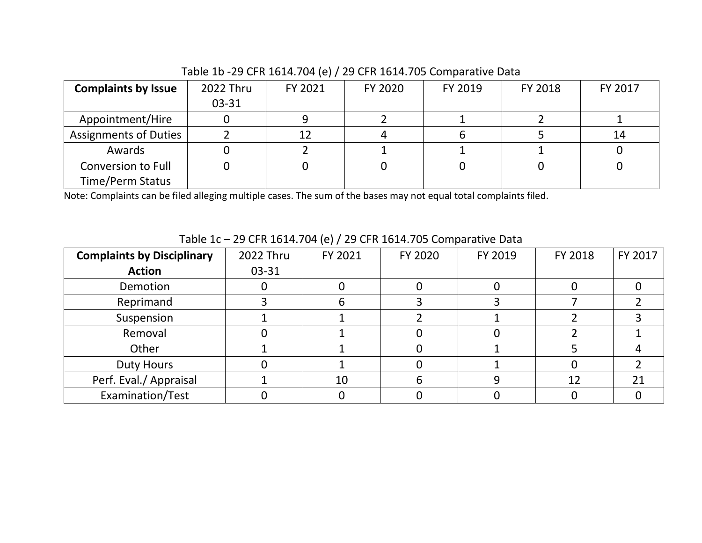### Table 1b -29 CFR 1614.704 (e) / 29 CFR 1614.705 Comparative Data

| <b>Complaints by Issue</b> | 2022 Thru | FY 2021 | FY 2020 | FY 2019 | FY 2018 | FY 2017 |
|----------------------------|-----------|---------|---------|---------|---------|---------|
|                            | $03 - 31$ |         |         |         |         |         |
| Appointment/Hire           |           |         |         |         |         |         |
| Assignments of Duties      |           | 12      |         |         |         | 14      |
| Awards                     |           |         |         |         |         |         |
| Conversion to Full         |           |         |         |         |         |         |
| <b>Time/Perm Status</b>    |           |         |         |         |         |         |

Note: Complaints can be filed alleging multiple cases. The sum of the bases may not equal total complaints filed.

|                                   |           | $\cdots$ |         |         |         |         |
|-----------------------------------|-----------|----------|---------|---------|---------|---------|
| <b>Complaints by Disciplinary</b> | 2022 Thru | FY 2021  | FY 2020 | FY 2019 | FY 2018 | FY 2017 |
| <b>Action</b>                     | 03-31     |          |         |         |         |         |
| Demotion                          |           |          |         |         |         |         |
| Reprimand                         |           | 6        |         |         |         |         |
| Suspension                        |           |          |         |         |         |         |
| Removal                           |           |          |         |         |         |         |
| Other                             |           |          |         |         |         |         |
| <b>Duty Hours</b>                 |           |          |         |         |         |         |
| Perf. Eval./ Appraisal            |           | 10       | n       |         | 12      | 21      |
| Examination/Test                  |           |          |         |         |         |         |

Table 1c – 29 CFR 1614.704 (e) / 29 CFR 1614.705 Comparative Data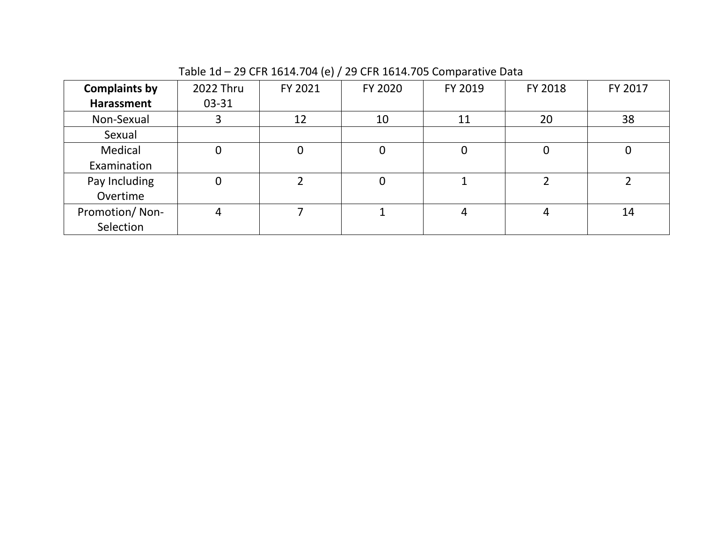| <b>Complaints by</b> | 2022 Thru | FY 2021 | FY 2020 | FY 2019 | FY 2018 | FY 2017 |
|----------------------|-----------|---------|---------|---------|---------|---------|
| Harassment           | $03 - 31$ |         |         |         |         |         |
| Non-Sexual           |           | 12      | 10      | 11      | 20      | 38      |
| Sexual               |           |         |         |         |         |         |
| Medical              |           |         |         | 0       | 0       | 0       |
| Examination          |           |         |         |         |         |         |
| Pay Including        |           |         |         |         |         |         |
| Overtime             |           |         |         |         |         |         |
| Promotion/Non-       | 4         |         |         | 4       |         | 14      |
| Selection            |           |         |         |         |         |         |

Table 1d – 29 CFR 1614.704 (e) / 29 CFR 1614.705 Comparative Data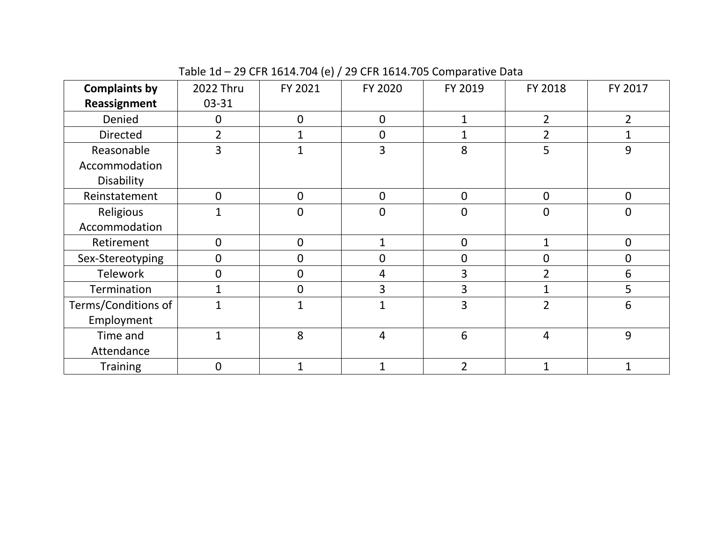## Table 1d – 29 CFR 1614.704 (e) / 29 CFR 1614.705 Comparative Data

| <b>Complaints by</b> | 2022 Thru      | FY 2021 | FY 2020      | FY 2019        | FY 2018          | FY 2017        |
|----------------------|----------------|---------|--------------|----------------|------------------|----------------|
| Reassignment         | $03 - 31$      |         |              |                |                  |                |
| Denied               | $\mathbf 0$    | 0       | $\mathbf 0$  | 1              | 2                | $\overline{2}$ |
| <b>Directed</b>      | $\overline{2}$ |         | 0            | 1              | 2                |                |
| Reasonable           | 3              |         | 3            | 8              | 5                | 9              |
| Accommodation        |                |         |              |                |                  |                |
| Disability           |                |         |              |                |                  |                |
| Reinstatement        | $\overline{0}$ | 0       | $\mathbf 0$  | $\mathbf 0$    | $\mathbf 0$      | $\overline{0}$ |
| Religious            | 1              | 0       | 0            | $\overline{0}$ | $\boldsymbol{0}$ | $\mathbf 0$    |
| Accommodation        |                |         |              |                |                  |                |
| Retirement           | $\mathbf 0$    | 0       |              | $\overline{0}$ | $\overline{1}$   | $\mathbf{0}$   |
| Sex-Stereotyping     | $\overline{0}$ | 0       | 0            | $\overline{0}$ | 0                | 0              |
| <b>Telework</b>      | $\overline{0}$ | 0       | 4            | 3              | $\overline{2}$   | 6              |
| <b>Termination</b>   | $\mathbf{1}$   | 0       | 3            | 3              |                  | 5              |
| Terms/Conditions of  | $\mathbf{1}$   |         |              | 3              | $\mathcal{P}$    | 6              |
| Employment           |                |         |              |                |                  |                |
| Time and             | 1              | 8       | 4            | 6              | $\overline{4}$   | 9              |
| Attendance           |                |         |              |                |                  |                |
| <b>Training</b>      | $\Omega$       | 1       | $\mathbf{1}$ | $\overline{2}$ | 1                | $\mathbf{1}$   |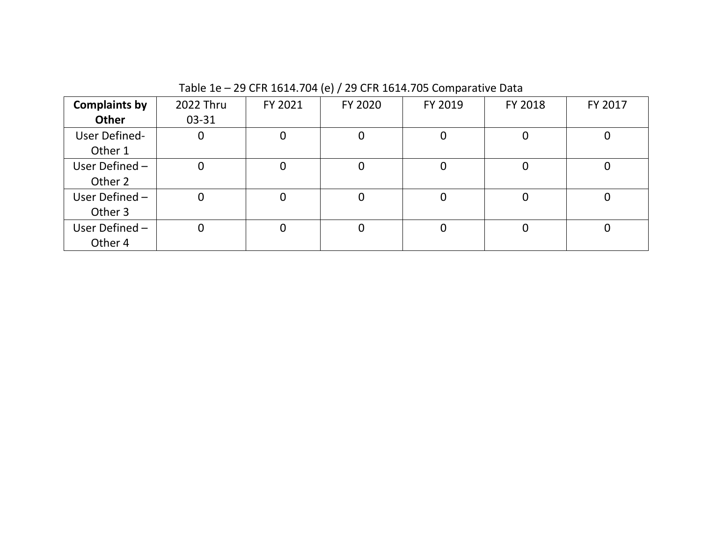| <b>Complaints by</b> | 2022 Thru | FY 2021     | FY 2020 | FY 2019 | FY 2018 | FY 2017 |
|----------------------|-----------|-------------|---------|---------|---------|---------|
| Other                | 03-31     |             |         |         |         |         |
| User Defined-        | 0         | 0           | 0       | 0       |         |         |
| Other 1              |           |             |         |         |         |         |
| User Defined-        | 0         | 0           | 0       | 0       |         |         |
| Other 2              |           |             |         |         |         |         |
| User Defined-        | 0         | $\mathbf 0$ | 0       | 0       |         |         |
| Other 3              |           |             |         |         |         |         |
| User Defined-        | 0         | 0           | 0       | 0       |         |         |
| Other 4              |           |             |         |         |         |         |

Table 1e – 29 CFR 1614.704 (e) / 29 CFR 1614.705 Comparative Data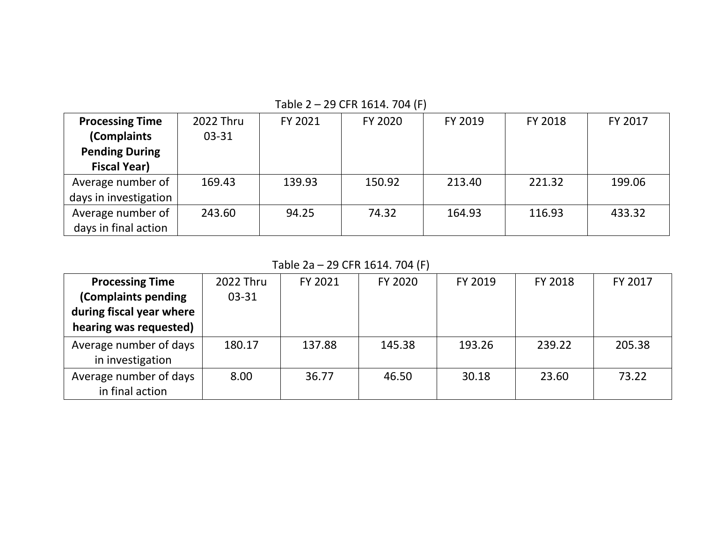| <b>Processing Time</b> | 2022 Thru | FY 2021 | FY 2020 | FY 2019 | FY 2018 | FY 2017 |
|------------------------|-----------|---------|---------|---------|---------|---------|
| (Complaints            | $03 - 31$ |         |         |         |         |         |
| <b>Pending During</b>  |           |         |         |         |         |         |
| <b>Fiscal Year)</b>    |           |         |         |         |         |         |
| Average number of      | 169.43    | 139.93  | 150.92  | 213.40  | 221.32  | 199.06  |
| days in investigation  |           |         |         |         |         |         |
| Average number of      | 243.60    | 94.25   | 74.32   | 164.93  | 116.93  | 433.32  |
| days in final action   |           |         |         |         |         |         |

Table 2 – 29 CFR 1614. 704 (F)

Table 2a – 29 CFR 1614. 704 (F)

| <b>Processing Time</b>   | 2022 Thru | FY 2021 | FY 2020 | FY 2019 | FY 2018 | <b>FY 2017</b> |
|--------------------------|-----------|---------|---------|---------|---------|----------------|
| (Complaints pending      | 03-31     |         |         |         |         |                |
| during fiscal year where |           |         |         |         |         |                |
| hearing was requested)   |           |         |         |         |         |                |
| Average number of days   | 180.17    | 137.88  | 145.38  | 193.26  | 239.22  | 205.38         |
| in investigation         |           |         |         |         |         |                |
| Average number of days   | 8.00      | 36.77   | 46.50   | 30.18   | 23.60   | 73.22          |
| in final action          |           |         |         |         |         |                |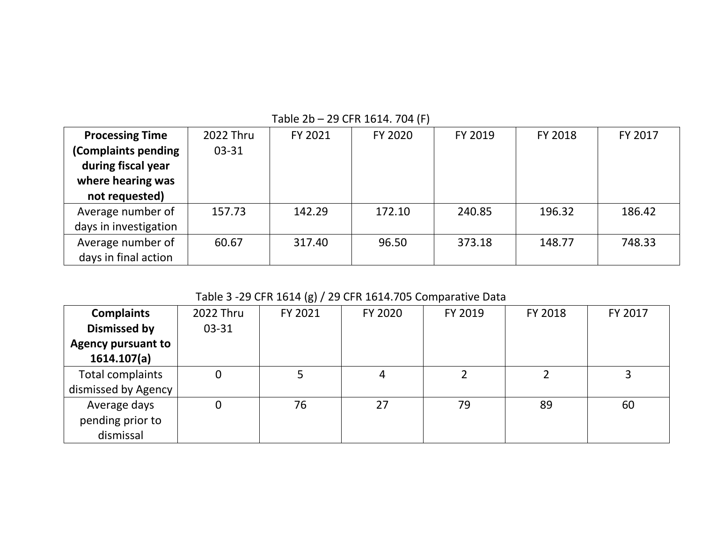| <b>Processing Time</b> | 2022 Thru | FY 2021 | FY 2020 | FY 2019 | FY 2018 | FY 2017 |
|------------------------|-----------|---------|---------|---------|---------|---------|
| (Complaints pending    | 03-31     |         |         |         |         |         |
| during fiscal year     |           |         |         |         |         |         |
| where hearing was      |           |         |         |         |         |         |
| not requested)         |           |         |         |         |         |         |
| Average number of      | 157.73    | 142.29  | 172.10  | 240.85  | 196.32  | 186.42  |
| days in investigation  |           |         |         |         |         |         |
| Average number of      | 60.67     | 317.40  | 96.50   | 373.18  | 148.77  | 748.33  |
| days in final action   |           |         |         |         |         |         |

Table 2b – 29 CFR 1614. 704 (F)

## Table 3 -29 CFR 1614 (g) / 29 CFR 1614.705 Comparative Data

| <b>Complaints</b>         | 2022 Thru | FY 2021 | FY 2020 | FY 2019 | FY 2018 | FY 2017 |
|---------------------------|-----------|---------|---------|---------|---------|---------|
| <b>Dismissed by</b>       | $03 - 31$ |         |         |         |         |         |
| <b>Agency pursuant to</b> |           |         |         |         |         |         |
| 1614.107(a)               |           |         |         |         |         |         |
| Total complaints          | 0         |         |         |         |         |         |
| dismissed by Agency       |           |         |         |         |         |         |
| Average days              | 0         | 76      | 27      | 79      | 89      | 60      |
| pending prior to          |           |         |         |         |         |         |
| dismissal                 |           |         |         |         |         |         |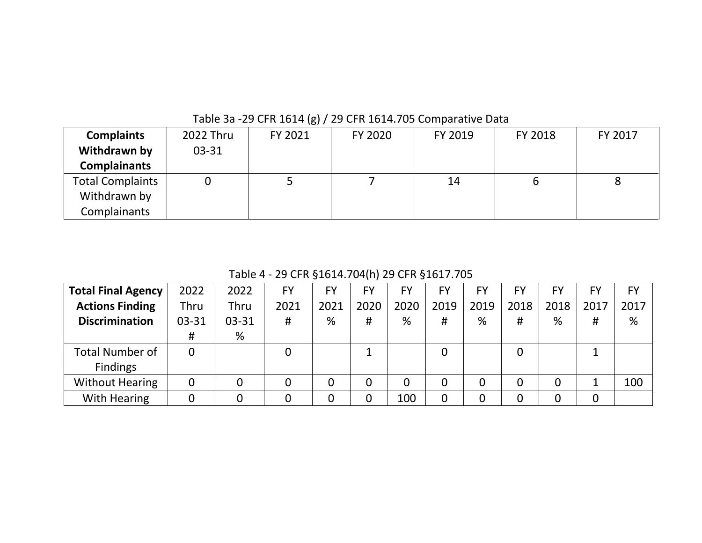| <b>Complaints</b>       | 2022 Thru | FY 2021 | FY 2020 | FY 2019 | FY 2018 | FY 2017 |
|-------------------------|-----------|---------|---------|---------|---------|---------|
| Withdrawn by            | $03 - 31$ |         |         |         |         |         |
| <b>Complainants</b>     |           |         |         |         |         |         |
| <b>Total Complaints</b> |           | ٮ       |         | 14      |         | 8       |
| Withdrawn by            |           |         |         |         |         |         |
| Complainants            |           |         |         |         |         |         |

Table 3a -29 CFR 1614 (g) / 29 CFR 1614.705 Comparative Data

Table 4 - 29 CFR §1614.704(h) 29 CFR §1617.705

| <b>Total Final Agency</b> | 2022  | 2022  | <b>FY</b> | <b>FY</b> | FY   | FY   | <b>FY</b>        | FY   | <b>FY</b> | FY   | FY   | <b>FY</b> |
|---------------------------|-------|-------|-----------|-----------|------|------|------------------|------|-----------|------|------|-----------|
| <b>Actions Finding</b>    | Thru  | Thru  | 2021      | 2021      | 2020 | 2020 | 2019             | 2019 | 2018      | 2018 | 2017 | 2017      |
| <b>Discrimination</b>     | 03-31 | 03-31 | #         | %         | #    | %    | #                | %    | #         | %    | #    | %         |
|                           | #     | %     |           |           |      |      |                  |      |           |      |      |           |
| <b>Total Number of</b>    | 0     |       |           |           |      |      | 0                |      | 0         |      | ᅩ    |           |
| <b>Findings</b>           |       |       |           |           |      |      |                  |      |           |      |      |           |
| <b>Without Hearing</b>    | 0     | 0     |           |           | 0    | 0    | $\boldsymbol{0}$ | 0    | 0         | 0    |      | 100       |
| <b>With Hearing</b>       | 0     |       |           |           |      | 100  | 0                | 0    | 0         |      | 0    |           |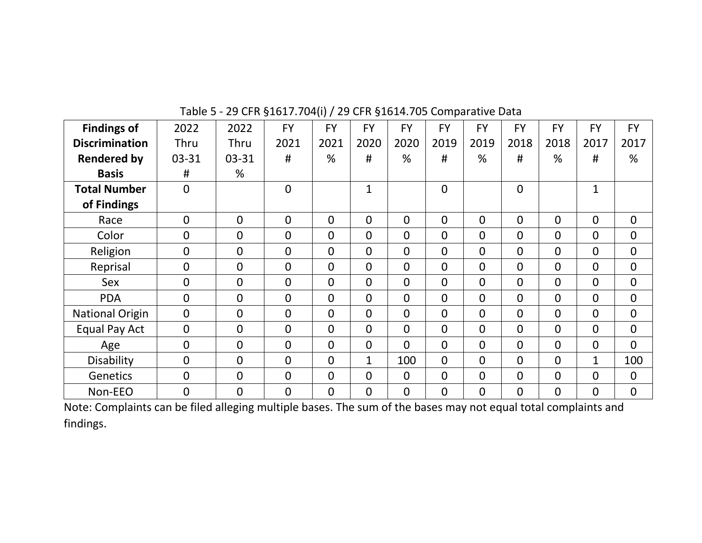| <b>Findings of</b>     | 2022           | 2022           | <b>FY</b>      | <b>FY</b>      | <b>FY</b>      | <b>FY</b>      | <b>FY</b>      | <b>FY</b>      | <b>FY</b>      | <b>FY</b>      | <b>FY</b>      | <b>FY</b>      |
|------------------------|----------------|----------------|----------------|----------------|----------------|----------------|----------------|----------------|----------------|----------------|----------------|----------------|
| <b>Discrimination</b>  | Thru           | Thru           | 2021           | 2021           | 2020           | 2020           | 2019           | 2019           | 2018           | 2018           | 2017           | 2017           |
| <b>Rendered by</b>     | 03-31          | $03 - 31$      | #              | %              | #              | %              | #              | %              | #              | %              | #              | %              |
| <b>Basis</b>           | #              | %              |                |                |                |                |                |                |                |                |                |                |
| <b>Total Number</b>    | $\Omega$       |                | $\overline{0}$ |                | $\mathbf{1}$   |                | $\overline{0}$ |                | $\mathbf 0$    |                | $\mathbf{1}$   |                |
| of Findings            |                |                |                |                |                |                |                |                |                |                |                |                |
| Race                   | $\overline{0}$ | $\overline{0}$ | $\overline{0}$ | $\Omega$       | $\overline{0}$ | $\overline{0}$ | $\overline{0}$ | $\Omega$       | $\mathbf{0}$   | $\overline{0}$ | $\mathbf{0}$   | $\mathbf 0$    |
| Color                  | $\mathbf{0}$   | $\overline{0}$ | $\overline{0}$ | $\overline{0}$ | $\overline{0}$ | $\overline{0}$ | $\overline{0}$ | $\Omega$       | $\Omega$       | 0              | $\mathbf{0}$   | 0              |
| Religion               | $\mathbf{0}$   | $\mathbf 0$    | $\overline{0}$ | $\Omega$       | $\overline{0}$ | $\overline{0}$ | $\overline{0}$ | $\Omega$       | $\Omega$       | $\Omega$       | $\Omega$       | 0              |
| Reprisal               | $\overline{0}$ | $\mathbf 0$    | $\overline{0}$ | $\overline{0}$ | $\overline{0}$ | $\mathbf 0$    | $\overline{0}$ | $\overline{0}$ | $\overline{0}$ | $\overline{0}$ | $\mathbf{0}$   | 0              |
| Sex                    | $\overline{0}$ | $\mathbf 0$    | $\overline{0}$ | $\overline{0}$ | $\overline{0}$ | $\overline{0}$ | $\overline{0}$ | $\Omega$       | $\mathbf 0$    | $\Omega$       | $\mathbf{0}$   | $\overline{0}$ |
| <b>PDA</b>             | $\overline{0}$ | $\mathbf 0$    | $\overline{0}$ | $\overline{0}$ | $\overline{0}$ | $\overline{0}$ | $\overline{0}$ | $\Omega$       | $\mathbf{0}$   | $\overline{0}$ | $\mathbf{0}$   | $\mathbf 0$    |
| <b>National Origin</b> | $\overline{0}$ | $\overline{0}$ | $\overline{0}$ | $\overline{0}$ | $\overline{0}$ | $\overline{0}$ | $\overline{0}$ | $\overline{0}$ | $\mathbf 0$    | $\overline{0}$ | $\mathbf 0$    | 0              |
| Equal Pay Act          | $\overline{0}$ | $\overline{0}$ | $\overline{0}$ | $\mathbf{0}$   | $\overline{0}$ | $\overline{0}$ | $\overline{0}$ | $\Omega$       | $\mathbf{0}$   | $\overline{0}$ | $\mathbf 0$    | 0              |
| Age                    | $\mathbf{0}$   | $\overline{0}$ | $\overline{0}$ | $\overline{0}$ | $\overline{0}$ | $\overline{0}$ | $\overline{0}$ | $\Omega$       | $\overline{0}$ | $\Omega$       | $\overline{0}$ | $\overline{0}$ |
| Disability             | $\Omega$       | $\overline{0}$ | $\overline{0}$ | $\Omega$       | $\mathbf{1}$   | 100            | $\Omega$       | $\Omega$       | $\mathbf{0}$   | $\Omega$       | $\mathbf{1}$   | 100            |
| Genetics               | $\Omega$       | $\overline{0}$ | $\overline{0}$ | $\Omega$       | $\overline{0}$ | $\overline{0}$ | $\overline{0}$ | $\Omega$       | $\mathbf{0}$   | $\Omega$       | $\Omega$       | $\overline{0}$ |
| Non-EEO                | $\overline{0}$ | $\mathbf 0$    | $\overline{0}$ | $\overline{0}$ | $\mathbf{0}$   | $\mathbf 0$    | $\mathbf 0$    | $\mathbf{0}$   | $\overline{0}$ | $\mathbf 0$    | $\overline{0}$ | $\overline{0}$ |

Table 5 - 29 CFR §1617.704(i) / 29 CFR §1614.705 Comparative Data

Note: Complaints can be filed alleging multiple bases. The sum of the bases may not equal total complaints and findings.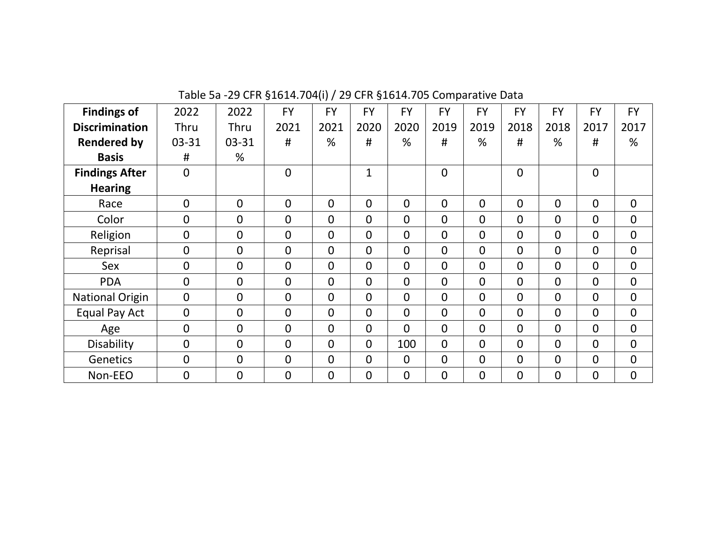| <b>Findings of</b>     | 2022           | 2022           | <b>FY</b>      | <b>FY</b>      | <b>FY</b>      | <b>FY</b>      | <b>FY</b>      | <b>FY</b>      | <b>FY</b>      | <b>FY</b>      | <b>FY</b>      | <b>FY</b>      |
|------------------------|----------------|----------------|----------------|----------------|----------------|----------------|----------------|----------------|----------------|----------------|----------------|----------------|
| <b>Discrimination</b>  | Thru           | Thru           | 2021           | 2021           | 2020           | 2020           | 2019           | 2019           | 2018           | 2018           | 2017           | 2017           |
| <b>Rendered by</b>     | 03-31          | 03-31          | #              | %              | #              | %              | #              | %              | #              | %              | #              | %              |
| <b>Basis</b>           | #              | %              |                |                |                |                |                |                |                |                |                |                |
| <b>Findings After</b>  | $\overline{0}$ |                | $\overline{0}$ |                | $\mathbf{1}$   |                | $\overline{0}$ |                | $\mathbf 0$    |                | $\overline{0}$ |                |
| <b>Hearing</b>         |                |                |                |                |                |                |                |                |                |                |                |                |
| Race                   | $\overline{0}$ | $\overline{0}$ | $\overline{0}$ | $\mathbf 0$    | 0              | $\mathbf{0}$   | 0              | $\Omega$       | $\mathbf 0$    | $\overline{0}$ | $\overline{0}$ | $\overline{0}$ |
| Color                  | $\overline{0}$ | 0              | $\overline{0}$ | $\overline{0}$ | $\overline{0}$ | $\overline{0}$ | 0              | $\Omega$       | $\mathbf 0$    | $\overline{0}$ | $\overline{0}$ | $\overline{0}$ |
| Religion               | $\overline{0}$ | $\mathbf 0$    | $\overline{0}$ | $\overline{0}$ | $\overline{0}$ | $\mathbf{0}$   | $\overline{0}$ | $\overline{0}$ | $\overline{0}$ | $\overline{0}$ | $\overline{0}$ | $\overline{0}$ |
| Reprisal               | $\overline{0}$ | $\mathbf 0$    | $\overline{0}$ | $\Omega$       | $\overline{0}$ | $\mathbf{0}$   | 0              | $\overline{0}$ | $\mathbf 0$    | $\overline{0}$ | $\overline{0}$ | $\overline{0}$ |
| <b>Sex</b>             | $\overline{0}$ | $\mathbf 0$    | $\overline{0}$ | $\mathbf 0$    | $\overline{0}$ | $\mathbf{0}$   | $\mathbf 0$    | $\Omega$       | $\mathbf 0$    | $\overline{0}$ | $\overline{0}$ | $\overline{0}$ |
| <b>PDA</b>             | $\overline{0}$ | $\mathbf 0$    | $\overline{0}$ | $\Omega$       | $\overline{0}$ | $\mathbf{0}$   | $\overline{0}$ | $\Omega$       | $\overline{0}$ | $\overline{0}$ | $\overline{0}$ | $\mathbf{0}$   |
| <b>National Origin</b> | $\mathbf{0}$   | $\overline{0}$ | $\overline{0}$ | $\Omega$       | $\overline{0}$ | $\Omega$       | $\overline{0}$ | $\Omega$       | $\Omega$       | $\Omega$       | $\overline{0}$ | $\overline{0}$ |
| Equal Pay Act          | $\overline{0}$ | $\mathbf 0$    | $\overline{0}$ | $\Omega$       | $\Omega$       | $\Omega$       | $\overline{0}$ | $\Omega$       | $\Omega$       | $\Omega$       | $\Omega$       | $\overline{0}$ |
| Age                    | $\mathbf{0}$   | $\overline{0}$ | $\overline{0}$ | $\Omega$       | $\Omega$       | $\Omega$       | $\overline{0}$ | $\Omega$       | $\overline{0}$ | $\Omega$       | $\Omega$       | $\overline{0}$ |
| Disability             | $\overline{0}$ | $\overline{0}$ | $\overline{0}$ | $\Omega$       | $\Omega$       | 100            | $\overline{0}$ | $\Omega$       | $\mathbf{0}$   | $\Omega$       | $\Omega$       | $\overline{0}$ |
| Genetics               | $\overline{0}$ | $\overline{0}$ | $\overline{0}$ | $\Omega$       | $\overline{0}$ | $\Omega$       | $\overline{0}$ | $\Omega$       | $\Omega$       | $\overline{0}$ | $\overline{0}$ | $\overline{0}$ |
| Non-EEO                | $\overline{0}$ | $\overline{0}$ | $\overline{0}$ | $\overline{0}$ | $\mathbf 0$    | $\mathbf 0$    | $\overline{0}$ | $\overline{0}$ | $\overline{0}$ | $\overline{0}$ | $\mathbf 0$    | $\overline{0}$ |

Table 5a -29 CFR §1614.704(i) / 29 CFR §1614.705 Comparative Data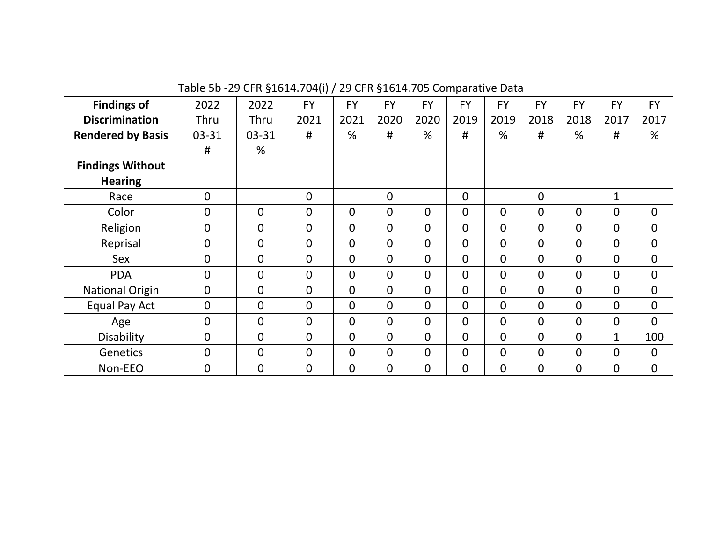Table 5b -29 CFR §1614.704(i) / 29 CFR §1614.705 Comparative Data

| <b>Findings of</b>       | 2022             | 2022             | <b>FY</b>      | <b>FY</b>      | <b>FY</b>      | <b>FY</b>      | <b>FY</b>      | <b>FY</b>      | <b>FY</b>      | <b>FY</b>   | <b>FY</b>      | <b>FY</b>      |
|--------------------------|------------------|------------------|----------------|----------------|----------------|----------------|----------------|----------------|----------------|-------------|----------------|----------------|
| <b>Discrimination</b>    | Thru             | Thru             | 2021           | 2021           | 2020           | 2020           | 2019           | 2019           | 2018           | 2018        | 2017           | 2017           |
| <b>Rendered by Basis</b> | 03-31            | $03 - 31$        | #              | %              | #              | %              | #              | %              | #              | %           | #              | %              |
|                          | #                | %                |                |                |                |                |                |                |                |             |                |                |
| <b>Findings Without</b>  |                  |                  |                |                |                |                |                |                |                |             |                |                |
| <b>Hearing</b>           |                  |                  |                |                |                |                |                |                |                |             |                |                |
| Race                     | $\mathbf 0$      |                  | $\overline{0}$ |                | 0              |                | $\overline{0}$ |                | $\mathbf 0$    |             | 1              |                |
| Color                    | $\overline{0}$   | 0                | $\mathbf{0}$   | $\overline{0}$ | 0              | $\mathbf{0}$   | $\overline{0}$ | $\overline{0}$ | $\overline{0}$ | $\Omega$    | $\overline{0}$ | $\overline{0}$ |
| Religion                 | $\boldsymbol{0}$ | $\boldsymbol{0}$ | $\mathbf{0}$   | $\overline{0}$ | 0              | $\mathbf{0}$   | 0              | $\overline{0}$ | $\mathbf 0$    | $\Omega$    | $\mathbf{0}$   | $\mathbf{0}$   |
| Reprisal                 | $\mathbf 0$      | $\overline{0}$   | $\overline{0}$ | $\overline{0}$ | $\mathbf{0}$   | $\mathbf 0$    | 0              | $\overline{0}$ | $\mathbf{0}$   | $\Omega$    | $\mathbf 0$    | $\overline{0}$ |
| Sex                      | $\mathbf 0$      | $\overline{0}$   | $\overline{0}$ | $\overline{0}$ | $\mathbf{0}$   | $\mathbf 0$    | 0              | $\overline{0}$ | $\mathbf{0}$   | $\mathbf 0$ | $\overline{0}$ | $\overline{0}$ |
| <b>PDA</b>               | $\mathbf 0$      | $\mathbf 0$      | $\overline{0}$ | $\overline{0}$ | $\Omega$       | $\overline{0}$ | 0              | $\mathbf 0$    | $\overline{0}$ | $\Omega$    | $\overline{0}$ | $\mathbf 0$    |
| <b>National Origin</b>   | $\mathbf{0}$     | $\mathbf{0}$     | $\overline{0}$ | $\overline{0}$ | $\overline{0}$ | $\overline{0}$ | $\overline{0}$ | $\Omega$       | $\Omega$       | $\Omega$    | $\overline{0}$ | $\mathbf{0}$   |
| Equal Pay Act            | $\overline{0}$   | $\overline{0}$   | $\overline{0}$ | $\overline{0}$ | $\Omega$       | $\overline{0}$ | $\overline{0}$ | $\Omega$       | $\overline{0}$ | $\Omega$    | $\overline{0}$ | $\overline{0}$ |
| Age                      | $\overline{0}$   | $\overline{0}$   | $\Omega$       | $\overline{0}$ | $\Omega$       | $\overline{0}$ | $\overline{0}$ | $\Omega$       | $\Omega$       | $\Omega$    | $\overline{0}$ | $\Omega$       |
| <b>Disability</b>        | $\overline{0}$   | $\overline{0}$   | $\mathbf{0}$   | $\Omega$       | $\Omega$       | $\mathbf{0}$   | $\overline{0}$ | $\Omega$       | $\mathbf{0}$   | $\Omega$    | $\mathbf{1}$   | 100            |
| Genetics                 | $\overline{0}$   | $\overline{0}$   | $\mathbf{0}$   | $\Omega$       | $\Omega$       | $\mathbf{0}$   | $\overline{0}$ | $\overline{0}$ | $\overline{0}$ | $\Omega$    | $\overline{0}$ | $\overline{0}$ |
| Non-EEO                  | $\overline{0}$   | $\overline{0}$   | $\mathbf 0$    | $\overline{0}$ | 0              | $\mathbf 0$    | 0              | $\overline{0}$ | $\mathbf 0$    | 0           | $\mathbf 0$    | $\mathbf 0$    |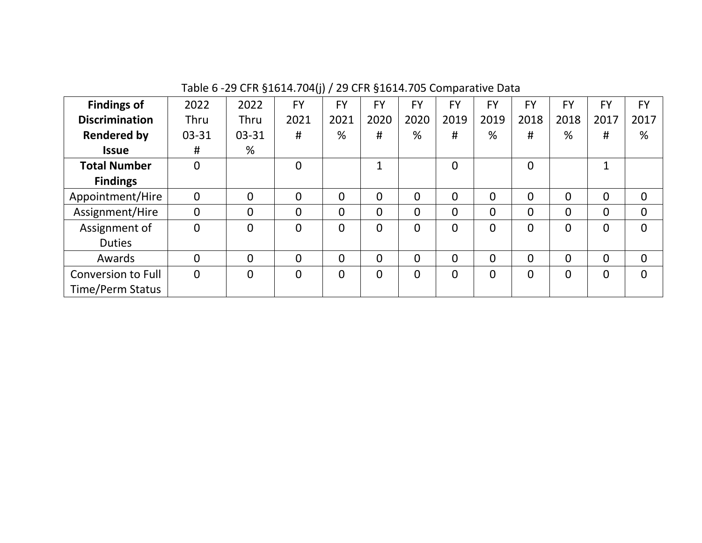| <b>Findings of</b>        | 2022           | 2022           | <b>FY</b>      | <b>FY</b>      | <b>FY</b>      | <b>FY</b>      | <b>FY</b>      | <b>FY</b>      | FY             | <b>FY</b>      | <b>FY</b>      | FY          |
|---------------------------|----------------|----------------|----------------|----------------|----------------|----------------|----------------|----------------|----------------|----------------|----------------|-------------|
| <b>Discrimination</b>     | <b>Thru</b>    | Thru           | 2021           | 2021           | 2020           | 2020           | 2019           | 2019           | 2018           | 2018           | 2017           | 2017        |
| <b>Rendered by</b>        | 03-31          | $03 - 31$      | #              | %              | #              | %              | #              | %              | #              | %              | #              | %           |
| <b>Issue</b>              | #              | %              |                |                |                |                |                |                |                |                |                |             |
| <b>Total Number</b>       | $\mathbf 0$    |                | $\overline{0}$ |                | $\mathbf{1}$   |                | $\overline{0}$ |                | $\mathbf 0$    |                | $\mathbf{1}$   |             |
| <b>Findings</b>           |                |                |                |                |                |                |                |                |                |                |                |             |
| Appointment/Hire          | $\mathbf 0$    | $\overline{0}$ | $\overline{0}$ | 0              | $\Omega$       | $\overline{0}$ | $\overline{0}$ | $\overline{0}$ | 0              | $\overline{0}$ | 0              | $\mathbf 0$ |
| Assignment/Hire           | $\mathbf 0$    | $\overline{0}$ | $\overline{0}$ | 0              | $\Omega$       | $\overline{0}$ | $\overline{0}$ | 0              | 0              | $\Omega$       | 0              | $\mathbf 0$ |
| Assignment of             | $\overline{0}$ | $\overline{0}$ | $\overline{0}$ | $\overline{0}$ | $\overline{0}$ | $\Omega$       | $\overline{0}$ | $\overline{0}$ | $\overline{0}$ | $\Omega$       | 0              | $\Omega$    |
| <b>Duties</b>             |                |                |                |                |                |                |                |                |                |                |                |             |
| Awards                    | $\overline{0}$ | $\Omega$       | $\overline{0}$ | $\overline{0}$ | $\overline{0}$ | $\Omega$       | $\overline{0}$ | $\overline{0}$ | $\overline{0}$ | $\Omega$       | $\overline{0}$ | $\Omega$    |
| <b>Conversion to Full</b> | $\overline{0}$ | $\overline{0}$ | $\overline{0}$ | $\Omega$       | $\overline{0}$ | $\Omega$       | $\Omega$       | $\Omega$       | $\overline{0}$ | $\Omega$       | 0              | $\Omega$    |
| <b>Time/Perm Status</b>   |                |                |                |                |                |                |                |                |                |                |                |             |

Table 6 -29 CFR §1614.704(j) / 29 CFR §1614.705 Comparative Data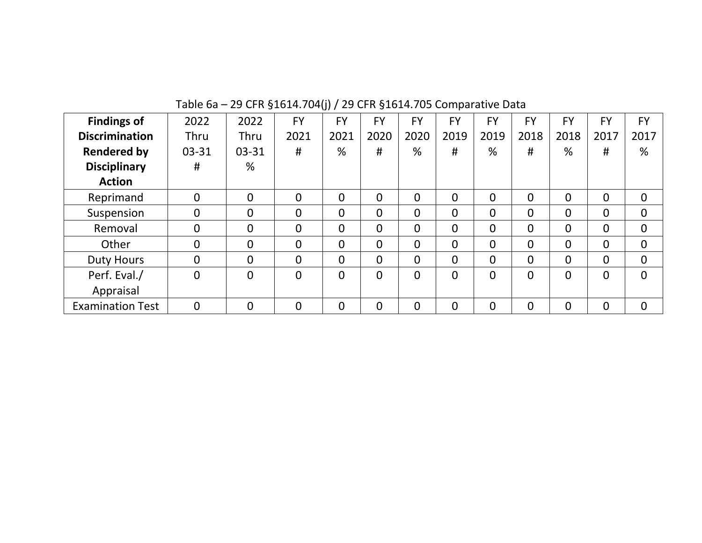| <b>Findings of</b>      | 2022           | 2022           | <b>FY</b>      | <b>FY</b>      | FY             | <b>FY</b>      | <b>FY</b>      | <b>FY</b>      | FY             | <b>FY</b>      | <b>FY</b>      | FY          |
|-------------------------|----------------|----------------|----------------|----------------|----------------|----------------|----------------|----------------|----------------|----------------|----------------|-------------|
| <b>Discrimination</b>   | Thru           | Thru           | 2021           | 2021           | 2020           | 2020           | 2019           | 2019           | 2018           | 2018           | 2017           | 2017        |
| <b>Rendered by</b>      | $03 - 31$      | $03 - 31$      | #              | %              | #              | %              | #              | %              | #              | %              | #              | %           |
| <b>Disciplinary</b>     | #              | %              |                |                |                |                |                |                |                |                |                |             |
| <b>Action</b>           |                |                |                |                |                |                |                |                |                |                |                |             |
| Reprimand               | 0              | $\overline{0}$ | $\overline{0}$ | 0              | $\overline{0}$ | $\overline{0}$ | $\overline{0}$ | 0              | 0              | 0              | 0              | $\mathbf 0$ |
| Suspension              | 0              | $\overline{0}$ | $\overline{0}$ | 0              | $\overline{0}$ | $\overline{0}$ | $\overline{0}$ | $\overline{0}$ | 0              | $\overline{0}$ | 0              | $\mathbf 0$ |
| Removal                 | $\mathbf 0$    | $\overline{0}$ | $\overline{0}$ | $\overline{0}$ | $\Omega$       | $\overline{0}$ | $\overline{0}$ | $\overline{0}$ | 0              | $\Omega$       | 0              | $\mathbf 0$ |
| Other                   | $\mathbf 0$    | $\overline{0}$ | $\overline{0}$ | $\overline{0}$ | $\Omega$       | $\overline{0}$ | $\overline{0}$ | $\overline{0}$ | 0              | $\Omega$       | 0              | $\mathbf 0$ |
| <b>Duty Hours</b>       | $\overline{0}$ | $\overline{0}$ | $\overline{0}$ | $\overline{0}$ | $\Omega$       | $\Omega$       | $\overline{0}$ | $\Omega$       | 0              | $\Omega$       | $\overline{0}$ | $\mathbf 0$ |
| Perf. Eval./            | $\Omega$       | $\overline{0}$ | $\Omega$       | $\Omega$       | $\Omega$       | $\Omega$       | $\Omega$       | $\Omega$       | $\overline{0}$ | 0              | 0              | $\Omega$    |
| Appraisal               |                |                |                |                |                |                |                |                |                |                |                |             |
| <b>Examination Test</b> | $\mathbf 0$    | $\overline{0}$ | $\overline{0}$ | $\overline{0}$ | $\overline{0}$ | $\overline{0}$ | $\overline{0}$ | $\overline{0}$ | 0              | $\Omega$       | $\mathbf 0$    | $\mathbf 0$ |

Table 6a – 29 CFR §1614.704(j) / 29 CFR §1614.705 Comparative Data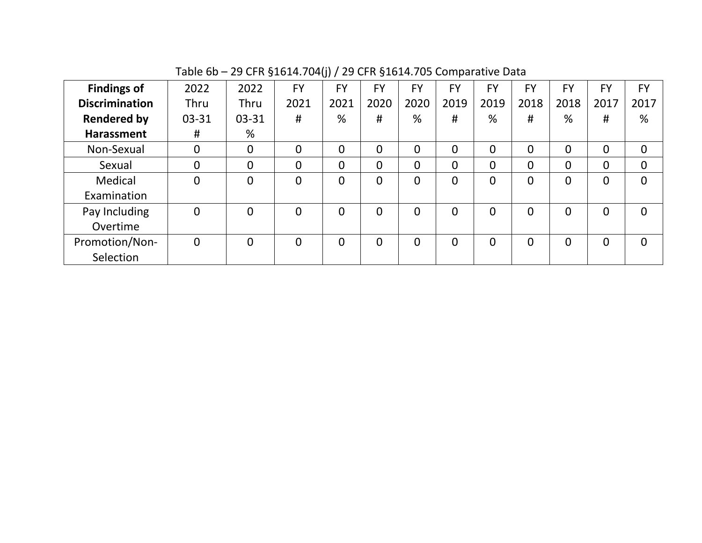| <b>Findings of</b>    | 2022           | 2022           | <b>FY</b>      | <b>FY</b>      | <b>FY</b>      | <b>FY</b>      | <b>FY</b>      | <b>FY</b>      | FY             | FY       | <b>FY</b>      | FY           |
|-----------------------|----------------|----------------|----------------|----------------|----------------|----------------|----------------|----------------|----------------|----------|----------------|--------------|
| <b>Discrimination</b> | <b>Thru</b>    | Thru           | 2021           | 2021           | 2020           | 2020           | 2019           | 2019           | 2018           | 2018     | 2017           | 2017         |
| <b>Rendered by</b>    | $03 - 31$      | $03 - 31$      | #              | %              | #              | %              | #              | %              | #              | %        | #              | %            |
| <b>Harassment</b>     | #              | %              |                |                |                |                |                |                |                |          |                |              |
| Non-Sexual            | $\overline{0}$ | $\overline{0}$ | $\overline{0}$ | $\overline{0}$ | $\Omega$       | $\Omega$       | $\Omega$       | $\overline{0}$ | $\overline{0}$ | $\Omega$ | $\overline{0}$ | $\mathbf{0}$ |
| Sexual                | $\overline{0}$ | $\overline{0}$ | $\overline{0}$ | $\overline{0}$ | $\overline{0}$ | 0              | $\overline{0}$ | 0              | $\overline{0}$ |          | 0              | $\Omega$     |
| Medical               | $\overline{0}$ | $\Omega$       | $\Omega$       | 0              | $\overline{0}$ | $\overline{0}$ | $\Omega$       | 0              | $\overline{0}$ |          | 0              | $\Omega$     |
| Examination           |                |                |                |                |                |                |                |                |                |          |                |              |
| Pay Including         | $\overline{0}$ | $\overline{0}$ | $\overline{0}$ | 0              | $\overline{0}$ | $\Omega$       | $\overline{0}$ | $\overline{0}$ | $\overline{0}$ | $\Omega$ | 0              | $\Omega$     |
| Overtime              |                |                |                |                |                |                |                |                |                |          |                |              |
| Promotion/Non-        | $\overline{0}$ | $\overline{0}$ | $\overline{0}$ | 0              | $\overline{0}$ | $\overline{0}$ | $\overline{0}$ | $\overline{0}$ | 0              | 0        | 0              | $\Omega$     |
| Selection             |                |                |                |                |                |                |                |                |                |          |                |              |

Table 6b – 29 CFR §1614.704(j) / 29 CFR §1614.705 Comparative Data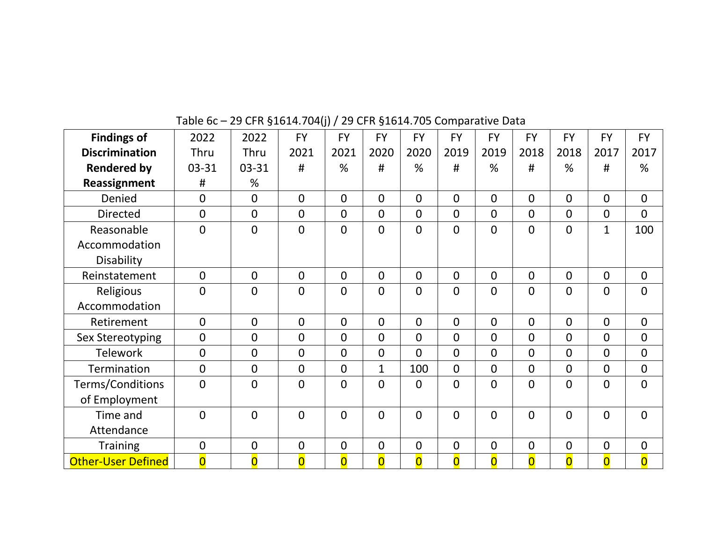| <b>Findings of</b>        | 2022                    | 2022                    | <b>FY</b>               | <b>FY</b>               | <b>FY</b>               | <b>FY</b>               | <b>FY</b>               | <b>FY</b>               | <b>FY</b>               | <b>FY</b>               | <b>FY</b>               | <b>FY</b>               |
|---------------------------|-------------------------|-------------------------|-------------------------|-------------------------|-------------------------|-------------------------|-------------------------|-------------------------|-------------------------|-------------------------|-------------------------|-------------------------|
| <b>Discrimination</b>     | Thru                    | Thru                    | 2021                    | 2021                    | 2020                    | 2020                    | 2019                    | 2019                    | 2018                    | 2018                    | 2017                    | 2017                    |
| <b>Rendered by</b>        | 03-31                   | $03 - 31$               | #                       | %                       | #                       | %                       | #                       | %                       | #                       | %                       | #                       | %                       |
| Reassignment              | #                       | %                       |                         |                         |                         |                         |                         |                         |                         |                         |                         |                         |
| Denied                    | $\overline{0}$          | $\overline{0}$          | $\overline{0}$          | $\mathbf{0}$            | $\Omega$                | $\Omega$                | $\Omega$                | $\Omega$                | $\overline{0}$          | $\Omega$                | $\Omega$                | $\overline{0}$          |
| <b>Directed</b>           | $\overline{0}$          | $\overline{0}$          | $\overline{0}$          | $\mathbf{0}$            | $\overline{0}$          | $\Omega$                | $\Omega$                | $\overline{0}$          | $\overline{0}$          | $\Omega$                | $\overline{0}$          | $\overline{0}$          |
| Reasonable                | $\overline{0}$          | $\overline{0}$          | $\overline{0}$          | $\Omega$                | $\Omega$                | $\overline{0}$          | $\overline{0}$          | $\Omega$                | $\overline{0}$          | $\Omega$                | $\mathbf{1}$            | 100                     |
| Accommodation             |                         |                         |                         |                         |                         |                         |                         |                         |                         |                         |                         |                         |
| Disability                |                         |                         |                         |                         |                         |                         |                         |                         |                         |                         |                         |                         |
| Reinstatement             | $\overline{0}$          | $\overline{0}$          | $\overline{0}$          | $\mathbf{0}$            | $\mathbf{0}$            | $\mathbf{0}$            | $\overline{0}$          | $\mathbf 0$             | $\overline{0}$          | $\Omega$                | $\mathbf{0}$            | $\overline{0}$          |
| Religious                 | $\overline{0}$          | $\overline{0}$          | $\overline{0}$          | $\mathbf{0}$            | $\mathbf 0$             | $\mathbf 0$             | $\mathbf{0}$            | $\overline{0}$          | $\mathbf 0$             | $\overline{0}$          | $\mathbf 0$             | $\mathbf 0$             |
| Accommodation             |                         |                         |                         |                         |                         |                         |                         |                         |                         |                         |                         |                         |
| Retirement                | $\overline{0}$          | $\overline{0}$          | $\overline{0}$          | $\mathbf{0}$            | $\Omega$                | $\Omega$                | $\Omega$                | $\Omega$                | $\overline{0}$          | $\Omega$                | $\mathbf{0}$            | $\overline{0}$          |
| Sex Stereotyping          | $\overline{0}$          | $\overline{0}$          | $\overline{0}$          | $\mathbf{0}$            | $\overline{0}$          | $\overline{0}$          | $\mathbf{0}$            | $\overline{0}$          | $\overline{0}$          | $\Omega$                | $\overline{0}$          | $\overline{0}$          |
| <b>Telework</b>           | $\overline{0}$          | $\overline{0}$          | $\overline{0}$          | $\mathbf{0}$            | $\overline{0}$          | $\overline{0}$          | $\mathbf{0}$            | $\overline{0}$          | $\overline{0}$          | $\Omega$                | $\overline{0}$          | $\overline{0}$          |
| Termination               | $\overline{0}$          | $\overline{0}$          | $\overline{0}$          | $\mathbf 0$             | $\mathbf{1}$            | 100                     | $\mathbf{0}$            | $\overline{0}$          | $\overline{0}$          | $\Omega$                | $\mathbf 0$             | $\overline{0}$          |
| Terms/Conditions          | $\overline{0}$          | $\overline{0}$          | $\overline{0}$          | $\mathbf{0}$            | $\Omega$                | $\overline{0}$          | $\Omega$                | $\Omega$                | $\overline{0}$          | $\Omega$                | $\overline{0}$          | $\overline{0}$          |
| of Employment             |                         |                         |                         |                         |                         |                         |                         |                         |                         |                         |                         |                         |
| Time and                  | $\overline{0}$          | $\overline{0}$          | $\overline{0}$          | $\Omega$                | $\overline{0}$          | $\overline{0}$          | $\Omega$                | $\overline{0}$          | $\overline{0}$          | $\Omega$                | $\mathbf 0$             | $\overline{0}$          |
| Attendance                |                         |                         |                         |                         |                         |                         |                         |                         |                         |                         |                         |                         |
| <b>Training</b>           | $\overline{0}$          | $\overline{0}$          | $\overline{0}$          | $\mathbf 0$             | $\mathbf 0$             | $\mathbf{0}$            | $\mathbf{0}$            | $\mathbf 0$             | $\overline{0}$          | $\overline{0}$          | $\overline{0}$          | $\mathbf 0$             |
| <b>Other-User Defined</b> | $\overline{\mathbf{0}}$ | $\overline{\mathbf{0}}$ | $\overline{\mathbf{0}}$ | $\overline{\mathbf{0}}$ | $\overline{\mathbf{0}}$ | $\overline{\mathbf{0}}$ | $\overline{\mathbf{0}}$ | $\overline{\mathbf{0}}$ | $\overline{\mathbf{0}}$ | $\overline{\mathbf{0}}$ | $\overline{\mathbf{0}}$ | $\overline{\mathbf{0}}$ |

Table 6c – 29 CFR §1614.704(j) / 29 CFR §1614.705 Comparative Data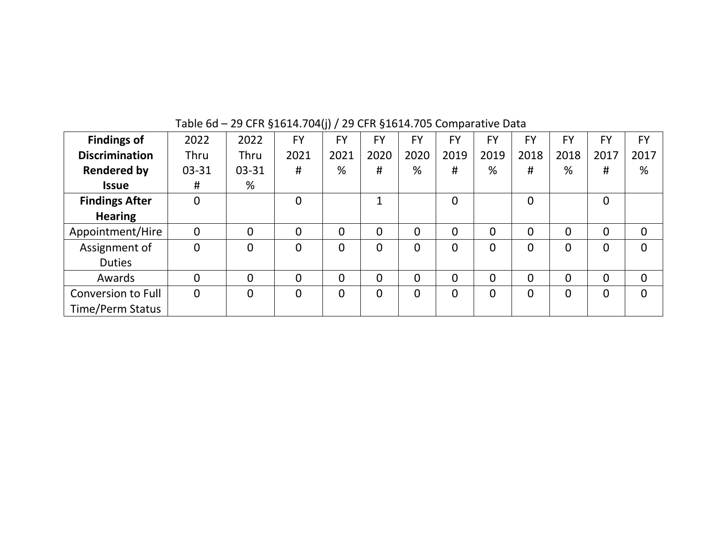| <b>Findings of</b>    | 2022           | 2022           | <b>FY</b>      | <b>FY</b>      | FY             | FY   | FY       | <b>FY</b>      | <b>FY</b>      | <b>FY</b>      | <b>FY</b>      | <b>FY</b>      |
|-----------------------|----------------|----------------|----------------|----------------|----------------|------|----------|----------------|----------------|----------------|----------------|----------------|
| <b>Discrimination</b> | Thru           | Thru           | 2021           | 2021           | 2020           | 2020 | 2019     | 2019           | 2018           | 2018           | 2017           | 2017           |
| <b>Rendered by</b>    | $03 - 31$      | $03 - 31$      | #              | %              | #              | %    | #        | %              | #              | %              | #              | %              |
| <b>Issue</b>          | #              | %              |                |                |                |      |          |                |                |                |                |                |
| <b>Findings After</b> | $\mathbf 0$    |                | $\Omega$       |                | $\mathbf{1}$   |      | $\Omega$ |                | $\overline{0}$ |                | $\overline{0}$ |                |
| <b>Hearing</b>        |                |                |                |                |                |      |          |                |                |                |                |                |
| Appointment/Hire      | $\mathbf 0$    | $\overline{0}$ | $\overline{0}$ | $\overline{0}$ | 0              | 0    | $\Omega$ | $\overline{0}$ | $\overline{0}$ | $\overline{0}$ | $\overline{0}$ | $\mathbf 0$    |
| Assignment of         | 0              | $\overline{0}$ | $\Omega$       | $\overline{0}$ | $\overline{0}$ | 0    | $\Omega$ | $\Omega$       | $\Omega$       | $\Omega$       | $\overline{0}$ | 0              |
| <b>Duties</b>         |                |                |                |                |                |      |          |                |                |                |                |                |
| Awards                | $\mathbf 0$    | $\overline{0}$ | $\Omega$       | $\overline{0}$ | $\Omega$       | 0    | $\Omega$ | $\overline{0}$ | $\Omega$       | $\Omega$       | $\overline{0}$ | $\overline{0}$ |
| Conversion to Full    | $\overline{0}$ | $\overline{0}$ | $\Omega$       | $\overline{0}$ | $\overline{0}$ | 0    | $\Omega$ | $\overline{0}$ | $\overline{0}$ | $\Omega$       | $\overline{0}$ | 0              |
| Time/Perm Status      |                |                |                |                |                |      |          |                |                |                |                |                |

## Table 6d – 29 CFR §1614.704(j) / 29 CFR §1614.705 Comparative Data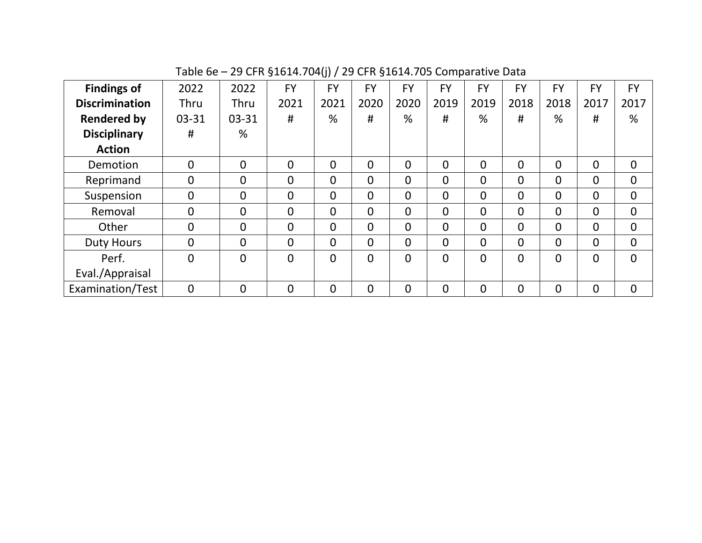| <b>Findings of</b>    | 2022           | 2022           | <b>FY</b>      | <b>FY</b> | <b>FY</b>      | <b>FY</b> | <b>FY</b>      | <b>FY</b>      | <b>FY</b>      | <b>FY</b>      | <b>FY</b>      | <b>FY</b>      |
|-----------------------|----------------|----------------|----------------|-----------|----------------|-----------|----------------|----------------|----------------|----------------|----------------|----------------|
| <b>Discrimination</b> | Thru           | Thru           | 2021           | 2021      | 2020           | 2020      | 2019           | 2019           | 2018           | 2018           | 2017           | 2017           |
| <b>Rendered by</b>    | 03-31          | 03-31          | #              | %         | #              | %         | #              | %              | #              | %              | #              | %              |
| <b>Disciplinary</b>   | #              | %              |                |           |                |           |                |                |                |                |                |                |
| <b>Action</b>         |                |                |                |           |                |           |                |                |                |                |                |                |
| Demotion              | 0              | $\overline{0}$ | $\overline{0}$ | 0         | $\overline{0}$ | 0         | $\overline{0}$ | $\overline{0}$ | 0              | $\overline{0}$ | $\overline{0}$ | $\mathbf 0$    |
| Reprimand             | 0              | $\overline{0}$ | $\overline{0}$ | 0         | $\Omega$       | 0         | $\overline{0}$ | 0              | 0              | $\overline{0}$ | $\overline{0}$ | $\overline{0}$ |
| Suspension            | 0              | $\mathbf 0$    | $\overline{0}$ | 0         | $\Omega$       | 0         | $\mathbf{0}$   | $\overline{0}$ | $\overline{0}$ | $\overline{0}$ | $\overline{0}$ | $\overline{0}$ |
| Removal               | 0              | $\mathbf 0$    | $\overline{0}$ | 0         | $\Omega$       | 0         | $\overline{0}$ | 0              | 0              | $\overline{0}$ | $\overline{0}$ | $\overline{0}$ |
| Other                 | $\overline{0}$ | $\overline{0}$ | $\overline{0}$ | 0         | $\Omega$       | 0         | $\mathbf{0}$   | $\overline{0}$ | $\overline{0}$ | $\overline{0}$ | $\overline{0}$ | $\mathbf{0}$   |
| <b>Duty Hours</b>     | $\Omega$       | $\mathbf 0$    | $\overline{0}$ | 0         | $\Omega$       | 0         | $\overline{0}$ | $\overline{0}$ | $\overline{0}$ | $\Omega$       | $\overline{0}$ | $\overline{0}$ |
| Perf.                 | 0              | $\overline{0}$ | $\overline{0}$ | 0         | $\overline{0}$ | 0         | $\mathbf{0}$   | 0              | 0              | $\overline{0}$ | $\overline{0}$ | $\Omega$       |
| Eval./Appraisal       |                |                |                |           |                |           |                |                |                |                |                |                |
| Examination/Test      | $\overline{0}$ | $\overline{0}$ | $\overline{0}$ | 0         | $\Omega$       | 0         | $\overline{0}$ | 0              | 0              | $\overline{0}$ | $\mathbf 0$    | $\mathbf 0$    |

Table 6e – 29 CFR §1614.704(j) / 29 CFR §1614.705 Comparative Data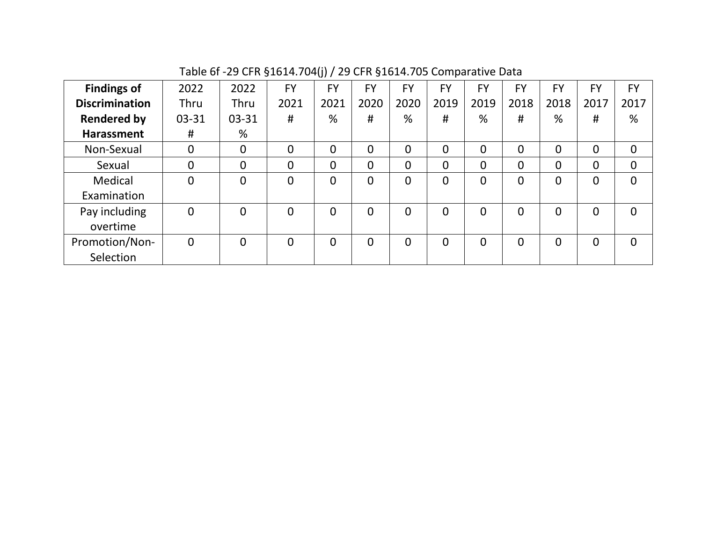| <b>Findings of</b>    | 2022           | 2022           | <b>FY</b>      | <b>FY</b> | <b>FY</b>      | <b>FY</b>      | <b>FY</b>      | FY             | <b>FY</b> | <b>FY</b> | <b>FY</b>      | <b>FY</b>      |
|-----------------------|----------------|----------------|----------------|-----------|----------------|----------------|----------------|----------------|-----------|-----------|----------------|----------------|
| <b>Discrimination</b> | Thru           | Thru           | 2021           | 2021      | 2020           | 2020           | 2019           | 2019           | 2018      | 2018      | 2017           | 2017           |
| <b>Rendered by</b>    | 03-31          | 03-31          | #              | %         | #              | %              | #              | %              | #         | %         | #              | %              |
| <b>Harassment</b>     | #              | %              |                |           |                |                |                |                |           |           |                |                |
| Non-Sexual            | 0              | $\overline{0}$ | $\Omega$       | 0         | $\overline{0}$ | $\overline{0}$ | $\overline{0}$ | $\overline{0}$ | 0         | 0         | $\overline{0}$ | $\overline{0}$ |
| Sexual                | 0              | $\overline{0}$ | $\overline{0}$ | 0         | 0              | $\overline{0}$ | $\overline{0}$ | $\overline{0}$ | 0         | 0         | $\overline{0}$ | $\overline{0}$ |
| Medical               | 0              | $\overline{0}$ | $\overline{0}$ | 0         | 0              | $\overline{0}$ | $\Omega$       | $\Omega$       | 0         | 0         | $\overline{0}$ | $\overline{0}$ |
| Examination           |                |                |                |           |                |                |                |                |           |           |                |                |
| Pay including         | $\overline{0}$ | $\overline{0}$ | $\Omega$       | 0         | $\overline{0}$ | $\Omega$       | $\Omega$       | $\overline{0}$ | 0         | $\Omega$  | $\overline{0}$ | $\overline{0}$ |
| overtime              |                |                |                |           |                |                |                |                |           |           |                |                |
| Promotion/Non-        | $\overline{0}$ | $\overline{0}$ | $\overline{0}$ | 0         | $\overline{0}$ | $\overline{0}$ | $\Omega$       | $\overline{0}$ | 0         | 0         | $\overline{0}$ | $\overline{0}$ |
| Selection             |                |                |                |           |                |                |                |                |           |           |                |                |

Table 6f -29 CFR §1614.704(j) / 29 CFR §1614.705 Comparative Data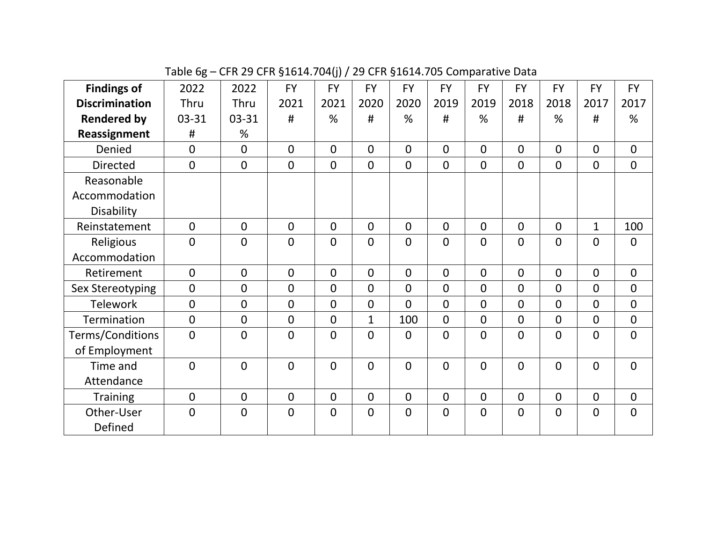Table 6g – CFR 29 CFR §1614.704(j) / 29 CFR §1614.705 Comparative Data

| <b>Findings of</b>    | 2022           | 2022           | <b>FY</b>      | <b>FY</b>      | <b>FY</b>      | <b>FY</b>      | <b>FY</b>      | <b>FY</b>      | <b>FY</b>      | <b>FY</b>      | <b>FY</b>      | <b>FY</b>      |
|-----------------------|----------------|----------------|----------------|----------------|----------------|----------------|----------------|----------------|----------------|----------------|----------------|----------------|
| <b>Discrimination</b> | Thru           | Thru           | 2021           | 2021           | 2020           | 2020           | 2019           | 2019           | 2018           | 2018           | 2017           | 2017           |
| <b>Rendered by</b>    | $03 - 31$      | 03-31          | #              | %              | #              | %              | #              | %              | #              | %              | #              | %              |
| Reassignment          | #              | %              |                |                |                |                |                |                |                |                |                |                |
| Denied                | $\overline{0}$ | $\Omega$       | $\Omega$       | $\Omega$       | $\Omega$       | $\overline{0}$ | $\overline{0}$ | $\overline{0}$ | $\overline{0}$ | $\mathbf{0}$   | $\overline{0}$ | $\overline{0}$ |
| <b>Directed</b>       | $\overline{0}$ | $\mathbf 0$    | $\mathbf 0$    | $\overline{0}$ | $\overline{0}$ | $\overline{0}$ | $\overline{0}$ | $\overline{0}$ | $\overline{0}$ | $\mathbf 0$    | $\overline{0}$ | $\overline{0}$ |
| Reasonable            |                |                |                |                |                |                |                |                |                |                |                |                |
| Accommodation         |                |                |                |                |                |                |                |                |                |                |                |                |
| Disability            |                |                |                |                |                |                |                |                |                |                |                |                |
| Reinstatement         | $\mathbf 0$    | $\Omega$       | $\Omega$       | $\overline{0}$ | $\overline{0}$ | $\overline{0}$ | $\overline{0}$ | $\overline{0}$ | $\Omega$       | $\mathbf 0$    | $\mathbf{1}$   | 100            |
| Religious             | $\overline{0}$ | $\overline{0}$ | $\overline{0}$ | $\overline{0}$ | $\overline{0}$ | $\overline{0}$ | $\overline{0}$ | $\overline{0}$ | $\overline{0}$ | $\overline{0}$ | $\overline{0}$ | $\mathbf 0$    |
| Accommodation         |                |                |                |                |                |                |                |                |                |                |                |                |
| Retirement            | $\overline{0}$ | $\mathbf{0}$   | $\Omega$       | $\mathbf{0}$   | $\Omega$       | $\Omega$       | $\overline{0}$ | $\Omega$       | $\overline{0}$ | $\overline{0}$ | $\overline{0}$ | $\mathbf 0$    |
| Sex Stereotyping      | $\overline{0}$ | $\mathbf{0}$   | $\mathbf 0$    | $\overline{0}$ | $\Omega$       | $\overline{0}$ | $\overline{0}$ | $\overline{0}$ | $\overline{0}$ | $\overline{0}$ | $\overline{0}$ | $\overline{0}$ |
| <b>Telework</b>       | $\mathbf 0$    | $\Omega$       | $\overline{0}$ | 0              | $\overline{0}$ | $\overline{0}$ | $\mathbf 0$    | $\overline{0}$ | $\overline{0}$ | $\mathbf 0$    | $\overline{0}$ | $\mathbf 0$    |
| Termination           | $\overline{0}$ | $\overline{0}$ | $\overline{0}$ | $\overline{0}$ | $\mathbf{1}$   | 100            | $\overline{0}$ | $\overline{0}$ | $\overline{0}$ | $\overline{0}$ | $\overline{0}$ | $\overline{0}$ |
| Terms/Conditions      | $\overline{0}$ | $\Omega$       | $\overline{0}$ | $\overline{0}$ | $\Omega$       | $\overline{0}$ | $\overline{0}$ | $\overline{0}$ | $\overline{0}$ | $\overline{0}$ | $\overline{0}$ | $\overline{0}$ |
| of Employment         |                |                |                |                |                |                |                |                |                |                |                |                |
| Time and              | $\overline{0}$ | $\mathbf{0}$   | $\Omega$       | $\overline{0}$ | $\Omega$       | $\overline{0}$ | $\overline{0}$ | $\overline{0}$ | $\overline{0}$ | $\mathbf{0}$   | $\overline{0}$ | $\mathbf 0$    |
| Attendance            |                |                |                |                |                |                |                |                |                |                |                |                |
| <b>Training</b>       | $\overline{0}$ | $\overline{0}$ | $\overline{0}$ | $\mathbf{0}$   | $\overline{0}$ | $\overline{0}$ | $\overline{0}$ | $\overline{0}$ | $\overline{0}$ | $\overline{0}$ | $\mathbf 0$    | $\overline{0}$ |
| Other-User            | $\overline{0}$ | $\mathbf{0}$   | $\mathbf 0$    | $\mathbf 0$    | $\overline{0}$ | $\mathbf 0$    | $\mathbf 0$    | $\overline{0}$ | $\overline{0}$ | $\overline{0}$ | $\mathbf 0$    | $\mathbf 0$    |
| Defined               |                |                |                |                |                |                |                |                |                |                |                |                |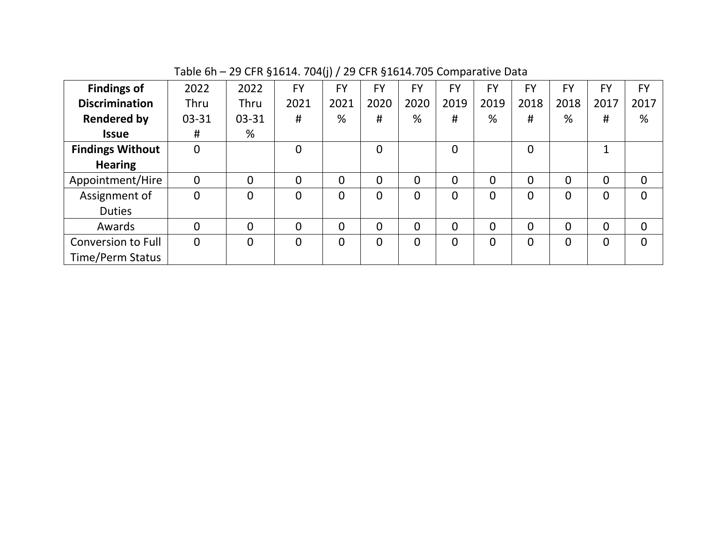| <b>Findings of</b>      | 2022           | 2022           | <b>FY</b>    | <b>FY</b>      | <b>FY</b>      | FY   | <b>FY</b> | <b>FY</b>      | <b>FY</b>      | FY       | <b>FY</b>    | FY           |
|-------------------------|----------------|----------------|--------------|----------------|----------------|------|-----------|----------------|----------------|----------|--------------|--------------|
| <b>Discrimination</b>   | <b>Thru</b>    | Thru           | 2021         | 2021           | 2020           | 2020 | 2019      | 2019           | 2018           | 2018     | 2017         | 2017         |
| <b>Rendered by</b>      | $03 - 31$      | 03-31          | #            | %              | #              | %    | #         | %              | #              | %        | #            | %            |
| <b>Issue</b>            | #              | %              |              |                |                |      |           |                |                |          |              |              |
| <b>Findings Without</b> | $\overline{0}$ |                | $\Omega$     |                | $\Omega$       |      | $\Omega$  |                | $\overline{0}$ |          | $\mathbf{1}$ |              |
| <b>Hearing</b>          |                |                |              |                |                |      |           |                |                |          |              |              |
| Appointment/Hire        | $\mathbf 0$    | $\overline{0}$ | $\Omega$     | $\overline{0}$ | $\overline{0}$ | 0    | $\Omega$  | $\overline{0}$ | $\overline{0}$ | 0        | 0            | $\mathbf{0}$ |
| Assignment of           | $\overline{0}$ | $\Omega$       | $\Omega$     | $\Omega$       | $\overline{0}$ | 0    | $\Omega$  | $\overline{0}$ | $\Omega$       | 0        | 0            | $\Omega$     |
| <b>Duties</b>           |                |                |              |                |                |      |           |                |                |          |              |              |
| Awards                  | 0              | $\overline{0}$ | $\mathbf{0}$ | $\overline{0}$ | $\overline{0}$ | 0    | $\Omega$  | $\overline{0}$ | $\overline{0}$ | 0        | 0            | $\Omega$     |
| Conversion to Full      | $\mathbf 0$    | $\overline{0}$ | $\mathbf{0}$ | $\overline{0}$ | $\overline{0}$ | 0    | $\Omega$  | $\overline{0}$ | $\overline{0}$ | $\Omega$ | $\mathbf 0$  | $\Omega$     |
| Time/Perm Status        |                |                |              |                |                |      |           |                |                |          |              |              |

Table 6h – 29 CFR §1614. 704(j) / 29 CFR §1614.705 Comparative Data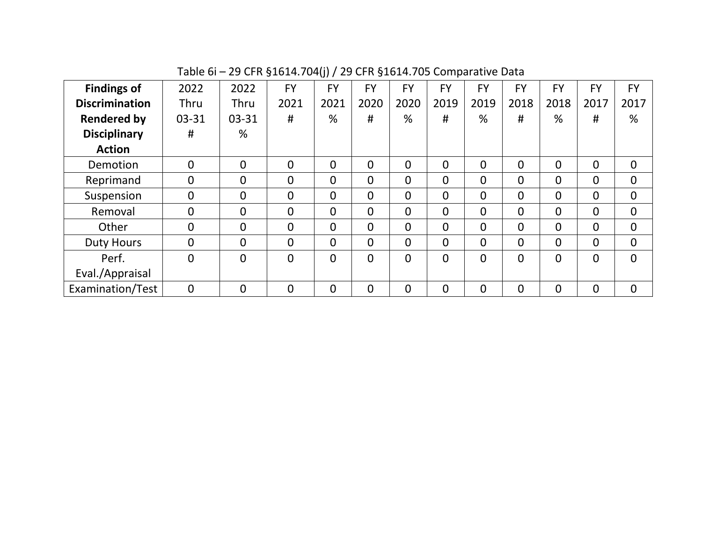| <b>Findings of</b>    | 2022           | 2022           | <b>FY</b>      | <b>FY</b>      | <b>FY</b>      | <b>FY</b>      | <b>FY</b>      | <b>FY</b>      | <b>FY</b>      | <b>FY</b>      | <b>FY</b>      | <b>FY</b>      |
|-----------------------|----------------|----------------|----------------|----------------|----------------|----------------|----------------|----------------|----------------|----------------|----------------|----------------|
| <b>Discrimination</b> | <b>Thru</b>    | <b>Thru</b>    | 2021           | 2021           | 2020           | 2020           | 2019           | 2019           | 2018           | 2018           | 2017           | 2017           |
| <b>Rendered by</b>    | 03-31          | 03-31          | #              | %              | #              | %              | #              | %              | #              | %              | #              | %              |
| <b>Disciplinary</b>   | #              | %              |                |                |                |                |                |                |                |                |                |                |
| <b>Action</b>         |                |                |                |                |                |                |                |                |                |                |                |                |
| Demotion              | 0              | $\overline{0}$ | $\overline{0}$ | 0              | $\Omega$       | 0              | $\overline{0}$ | $\overline{0}$ | 0              | $\Omega$       | $\overline{0}$ | $\overline{0}$ |
| Reprimand             | 0              | $\overline{0}$ | $\overline{0}$ | $\Omega$       | $\Omega$       | $\overline{0}$ | $\mathbf 0$    | $\overline{0}$ | $\Omega$       | $\Omega$       | $\overline{0}$ | $\mathbf{0}$   |
| Suspension            | 0              | $\overline{0}$ | $\Omega$       | $\Omega$       | $\Omega$       | $\Omega$       | $\mathbf 0$    | $\overline{0}$ | $\overline{0}$ | $\Omega$       | $\overline{0}$ | $\overline{0}$ |
| Removal               | 0              | $\overline{0}$ | $\overline{0}$ | $\overline{0}$ | $\Omega$       | $\overline{0}$ | 0              | $\overline{0}$ | 0              | $\Omega$       | $\mathbf{0}$   | $\overline{0}$ |
| Other                 | 0              | $\overline{0}$ | $\overline{0}$ | $\overline{0}$ | $\Omega$       | $\overline{0}$ | $\mathbf 0$    | $\overline{0}$ | $\overline{0}$ | $\Omega$       | $\overline{0}$ | $\overline{0}$ |
| <b>Duty Hours</b>     | $\overline{0}$ | $\overline{0}$ | $\overline{0}$ | $\Omega$       | $\Omega$       | $\Omega$       | $\Omega$       | $\overline{0}$ | $\Omega$       | $\Omega$       | $\overline{0}$ | $\mathbf{0}$   |
| Perf.                 | $\overline{0}$ | $\overline{0}$ | $\overline{0}$ | $\overline{0}$ | $\overline{0}$ | $\overline{0}$ | $\overline{0}$ | $\overline{0}$ | $\overline{0}$ | $\overline{0}$ | $\mathbf 0$    | $\Omega$       |
| Eval./Appraisal       |                |                |                |                |                |                |                |                |                |                |                |                |
| Examination/Test      | 0              | $\overline{0}$ | $\overline{0}$ | $\overline{0}$ | $\overline{0}$ | $\overline{0}$ | $\overline{0}$ | $\overline{0}$ | $\overline{0}$ | $\Omega$       | $\overline{0}$ | $\overline{0}$ |

Table 6i – 29 CFR §1614.704(j) / 29 CFR §1614.705 Comparative Data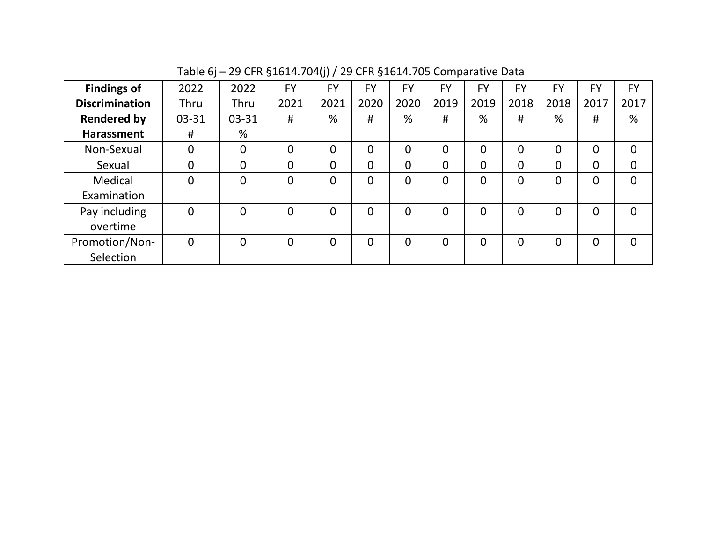| <b>Findings of</b>    | 2022  | 2022           | <b>FY</b>      | <b>FY</b> | FY       | <b>FY</b>      | <b>FY</b>      | FY             | FY   | <b>FY</b>      | <b>FY</b>      | <b>FY</b>      |
|-----------------------|-------|----------------|----------------|-----------|----------|----------------|----------------|----------------|------|----------------|----------------|----------------|
| <b>Discrimination</b> | Thru  | Thru           | 2021           | 2021      | 2020     | 2020           | 2019           | 2019           | 2018 | 2018           | 2017           | 2017           |
| <b>Rendered by</b>    | 03-31 | $03 - 31$      | #              | %         | #        | %              | #              | %              | #    | %              | #              | %              |
| <b>Harassment</b>     | #     | %              |                |           |          |                |                |                |      |                |                |                |
| Non-Sexual            | 0     | $\overline{0}$ | $\overline{0}$ | 0         | $\Omega$ | $\overline{0}$ | $\overline{0}$ | $\overline{0}$ | 0    | $\overline{0}$ | $\overline{0}$ | $\overline{0}$ |
| Sexual                | 0     | $\overline{0}$ | $\overline{0}$ | 0         | 0        | $\overline{0}$ | 0              | $\Omega$       | 0    | $\Omega$       | $\overline{0}$ | $\overline{0}$ |
| Medical               | 0     | $\overline{0}$ | $\overline{0}$ | 0         | $\Omega$ | 0              | 0              | $\Omega$       | 0    | $\Omega$       | $\overline{0}$ | $\Omega$       |
| Examination           |       |                |                |           |          |                |                |                |      |                |                |                |
| Pay including         | 0     | $\overline{0}$ | $\overline{0}$ | 0         | 0        | $\overline{0}$ | $\overline{0}$ | $\overline{0}$ | 0    | $\overline{0}$ | $\overline{0}$ | $\Omega$       |
| overtime              |       |                |                |           |          |                |                |                |      |                |                |                |
| Promotion/Non-        | 0     | $\overline{0}$ | $\overline{0}$ | 0         | $\Omega$ | $\overline{0}$ | 0              | $\overline{0}$ | 0    | $\Omega$       | $\overline{0}$ | $\Omega$       |
| Selection             |       |                |                |           |          |                |                |                |      |                |                |                |

Table 6j – 29 CFR §1614.704(j) / 29 CFR §1614.705 Comparative Data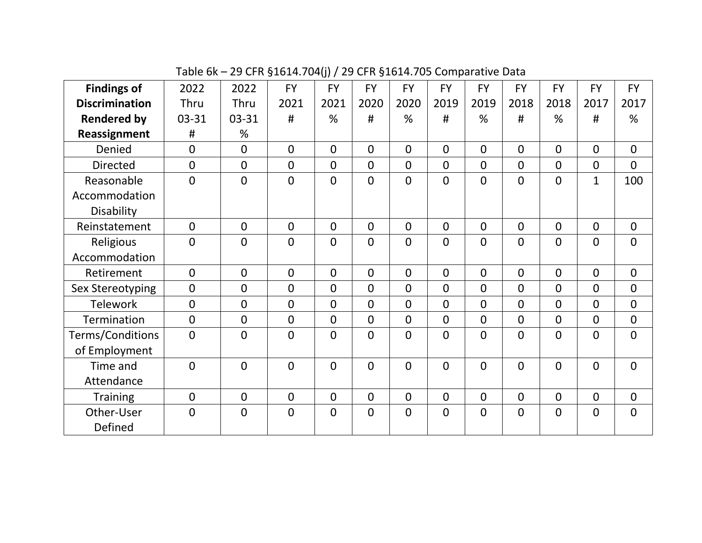Table 6k – 29 CFR §1614.704(j) / 29 CFR §1614.705 Comparative Data

| <b>Findings of</b>    | 2022           | 2022           | <b>FY</b>      | <b>FY</b>      | <b>FY</b>      | <b>FY</b>      | <b>FY</b>      | <b>FY</b>      | <b>FY</b>      | <b>FY</b>      | <b>FY</b>      | <b>FY</b>      |
|-----------------------|----------------|----------------|----------------|----------------|----------------|----------------|----------------|----------------|----------------|----------------|----------------|----------------|
| <b>Discrimination</b> | Thru           | Thru           | 2021           | 2021           | 2020           | 2020           | 2019           | 2019           | 2018           | 2018           | 2017           | 2017           |
| <b>Rendered by</b>    | 03-31          | 03-31          | #              | %              | #              | %              | #              | %              | #              | %              | #              | %              |
| Reassignment          | #              | %              |                |                |                |                |                |                |                |                |                |                |
| Denied                | $\mathbf 0$    | $\overline{0}$ | $\overline{0}$ | $\overline{0}$ | $\overline{0}$ | $\overline{0}$ | $\overline{0}$ | $\overline{0}$ | $\overline{0}$ | $\overline{0}$ | $\overline{0}$ | $\overline{0}$ |
| <b>Directed</b>       | $\overline{0}$ | $\mathbf{0}$   | $\overline{0}$ | $\overline{0}$ | $\overline{0}$ | $\overline{0}$ | $\overline{0}$ | $\overline{0}$ | $\overline{0}$ | $\mathbf{0}$   | $\overline{0}$ | $\overline{0}$ |
| Reasonable            | $\overline{0}$ | $\mathbf{0}$   | $\Omega$       | $\mathbf 0$    | $\Omega$       | $\overline{0}$ | $\overline{0}$ | $\overline{0}$ | $\overline{0}$ | $\mathbf{0}$   | $\mathbf{1}$   | 100            |
| Accommodation         |                |                |                |                |                |                |                |                |                |                |                |                |
| Disability            |                |                |                |                |                |                |                |                |                |                |                |                |
| Reinstatement         | $\mathbf{0}$   | $\Omega$       | $\Omega$       | $\overline{0}$ | $\overline{0}$ | $\overline{0}$ | $\overline{0}$ | $\overline{0}$ | $\overline{0}$ | $\mathbf 0$    | $\overline{0}$ | $\overline{0}$ |
| Religious             | $\overline{0}$ | $\Omega$       | $\overline{0}$ | $\overline{0}$ | $\Omega$       | $\overline{0}$ | $\overline{0}$ | $\overline{0}$ | $\mathbf 0$    | $\overline{0}$ | $\overline{0}$ | $\overline{0}$ |
| Accommodation         |                |                |                |                |                |                |                |                |                |                |                |                |
| Retirement            | $\overline{0}$ | $\Omega$       | $\Omega$       | $\overline{0}$ | $\overline{0}$ | $\overline{0}$ | $\overline{0}$ | $\overline{0}$ | $\overline{0}$ | $\overline{0}$ | $\overline{0}$ | $\overline{0}$ |
| Sex Stereotyping      | $\overline{0}$ | $\mathbf{0}$   | $\mathbf 0$    | $\overline{0}$ | $\overline{0}$ | $\overline{0}$ | $\overline{0}$ | $\overline{0}$ | $\overline{0}$ | $\overline{0}$ | $\overline{0}$ | $\overline{0}$ |
| <b>Telework</b>       | $\mathbf 0$    | $\Omega$       | $\Omega$       | 0              | $\overline{0}$ | $\overline{0}$ | $\overline{0}$ | $\overline{0}$ | $\overline{0}$ | $\mathbf 0$    | $\overline{0}$ | $\overline{0}$ |
| <b>Termination</b>    | $\overline{0}$ | $\Omega$       | $\Omega$       | $\overline{0}$ | $\Omega$       | $\overline{0}$ | $\Omega$       | $\overline{0}$ | $\Omega$       | $\Omega$       | $\overline{0}$ | $\overline{0}$ |
| Terms/Conditions      | $\overline{0}$ | $\overline{0}$ | $\overline{0}$ | $\overline{0}$ | $\Omega$       | $\overline{0}$ | $\overline{0}$ | $\overline{0}$ | $\overline{0}$ | $\overline{0}$ | $\overline{0}$ | $\overline{0}$ |
| of Employment         |                |                |                |                |                |                |                |                |                |                |                |                |
| Time and              | $\overline{0}$ | $\mathbf{0}$   | $\mathbf 0$    | $\overline{0}$ | $\overline{0}$ | $\overline{0}$ | $\overline{0}$ | $\overline{0}$ | $\mathbf 0$    | $\mathbf 0$    | $\mathbf 0$    | $\mathbf{0}$   |
| Attendance            |                |                |                |                |                |                |                |                |                |                |                |                |
| <b>Training</b>       | $\overline{0}$ | $\Omega$       | $\Omega$       | $\mathbf{0}$   | $\overline{0}$ | $\overline{0}$ | $\overline{0}$ | $\overline{0}$ | $\overline{0}$ | $\Omega$       | $\overline{0}$ | $\overline{0}$ |
| Other-User            | $\overline{0}$ | $\overline{0}$ | $\overline{0}$ | $\mathbf 0$    | $\overline{0}$ | $\mathbf 0$    | $\mathbf 0$    | $\overline{0}$ | $\mathbf 0$    | $\overline{0}$ | $\mathbf 0$    | $\mathbf 0$    |
| Defined               |                |                |                |                |                |                |                |                |                |                |                |                |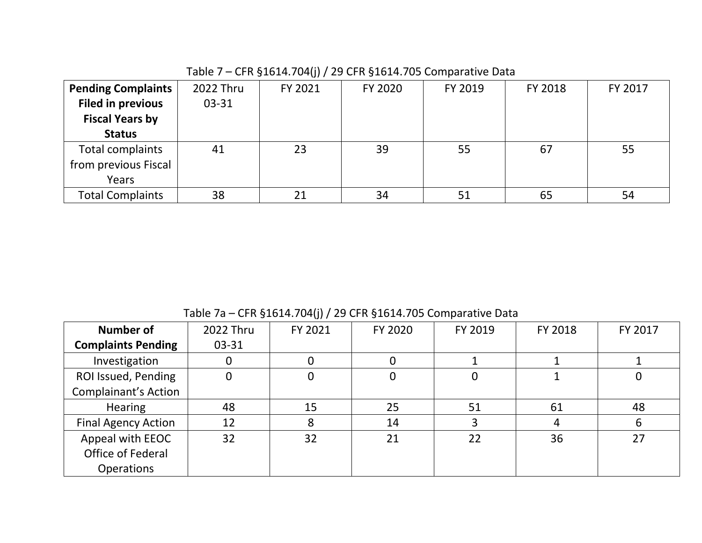| <b>Pending Complaints</b> | 2022 Thru | FY 2021 | FY 2020 | FY 2019 | FY 2018 | FY 2017 |
|---------------------------|-----------|---------|---------|---------|---------|---------|
| <b>Filed in previous</b>  | $03 - 31$ |         |         |         |         |         |
| <b>Fiscal Years by</b>    |           |         |         |         |         |         |
| <b>Status</b>             |           |         |         |         |         |         |
| Total complaints          | 41        | 23      | 39      | 55      | 67      | 55      |
| from previous Fiscal      |           |         |         |         |         |         |
| Years                     |           |         |         |         |         |         |
| <b>Total Complaints</b>   | 38        | 21      | 34      | 51      | 65      | 54      |

Table 7 – CFR §1614.704(j) / 29 CFR §1614.705 Comparative Data

Table 7a – CFR §1614.704(j) / 29 CFR §1614.705 Comparative Data

| <b>Number of</b>            | 2022 Thru | FY 2021 | FY 2020 | FY 2019 | FY 2018 | FY 2017 |
|-----------------------------|-----------|---------|---------|---------|---------|---------|
| <b>Complaints Pending</b>   | 03-31     |         |         |         |         |         |
| Investigation               | 0         |         |         |         |         |         |
| ROI Issued, Pending         | 0         | 0       |         |         |         | 0       |
| <b>Complainant's Action</b> |           |         |         |         |         |         |
| <b>Hearing</b>              | 48        | 15      | 25      | 51      | 61      | 48      |
| <b>Final Agency Action</b>  | 12        | 8       | 14      |         | 4       | 6       |
| Appeal with EEOC            | 32        | 32      | 21      | 22      | 36      | 27      |
| Office of Federal           |           |         |         |         |         |         |
| <b>Operations</b>           |           |         |         |         |         |         |